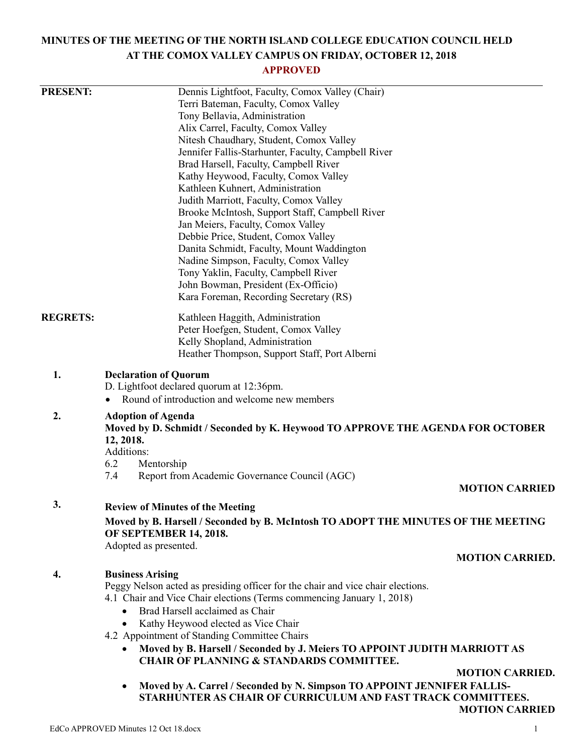# **MINUTES OF THE MEETING OF THE NORTH ISLAND COLLEGE EDUCATION COUNCIL HELD AT THE COMOX VALLEY CAMPUS ON FRIDAY, OCTOBER 12, 2018**

# **APPROVED**

| <b>PRESENT:</b> | Dennis Lightfoot, Faculty, Comox Valley (Chair)                                                                                                             |                        |  |
|-----------------|-------------------------------------------------------------------------------------------------------------------------------------------------------------|------------------------|--|
|                 | Terri Bateman, Faculty, Comox Valley                                                                                                                        |                        |  |
|                 | Tony Bellavia, Administration                                                                                                                               |                        |  |
|                 | Alix Carrel, Faculty, Comox Valley                                                                                                                          |                        |  |
|                 | Nitesh Chaudhary, Student, Comox Valley                                                                                                                     |                        |  |
|                 | Jennifer Fallis-Starhunter, Faculty, Campbell River                                                                                                         |                        |  |
|                 | Brad Harsell, Faculty, Campbell River                                                                                                                       |                        |  |
|                 | Kathy Heywood, Faculty, Comox Valley                                                                                                                        |                        |  |
|                 | Kathleen Kuhnert, Administration                                                                                                                            |                        |  |
|                 | Judith Marriott, Faculty, Comox Valley                                                                                                                      |                        |  |
|                 | Brooke McIntosh, Support Staff, Campbell River                                                                                                              |                        |  |
|                 | Jan Meiers, Faculty, Comox Valley                                                                                                                           |                        |  |
|                 | Debbie Price, Student, Comox Valley<br>Danita Schmidt, Faculty, Mount Waddington                                                                            |                        |  |
|                 | Nadine Simpson, Faculty, Comox Valley                                                                                                                       |                        |  |
|                 | Tony Yaklin, Faculty, Campbell River                                                                                                                        |                        |  |
|                 | John Bowman, President (Ex-Officio)                                                                                                                         |                        |  |
|                 | Kara Foreman, Recording Secretary (RS)                                                                                                                      |                        |  |
| <b>REGRETS:</b> | Kathleen Haggith, Administration                                                                                                                            |                        |  |
|                 | Peter Hoefgen, Student, Comox Valley                                                                                                                        |                        |  |
|                 | Kelly Shopland, Administration                                                                                                                              |                        |  |
|                 | Heather Thompson, Support Staff, Port Alberni                                                                                                               |                        |  |
| 1.              | <b>Declaration of Quorum</b><br>D. Lightfoot declared quorum at 12:36pm.<br>Round of introduction and welcome new members                                   |                        |  |
|                 |                                                                                                                                                             |                        |  |
| 2.              | <b>Adoption of Agenda</b><br>Moved by D. Schmidt / Seconded by K. Heywood TO APPROVE THE AGENDA FOR OCTOBER<br>12, 2018.<br>Additions:<br>6.2<br>Mentorship |                        |  |
|                 | Report from Academic Governance Council (AGC)<br>7.4                                                                                                        |                        |  |
|                 |                                                                                                                                                             | <b>MOTION CARRIED</b>  |  |
| 3.              | <b>Review of Minutes of the Meeting</b>                                                                                                                     |                        |  |
|                 | Moved by B. Harsell / Seconded by B. McIntosh TO ADOPT THE MINUTES OF THE MEETING<br><b>OF SEPTEMBER 14, 2018.</b>                                          |                        |  |
|                 | Adopted as presented.                                                                                                                                       |                        |  |
|                 |                                                                                                                                                             | <b>MOTION CARRIED.</b> |  |
| 4.              | <b>Business Arising</b>                                                                                                                                     |                        |  |
|                 | Peggy Nelson acted as presiding officer for the chair and vice chair elections.                                                                             |                        |  |
|                 | 4.1 Chair and Vice Chair elections (Terms commencing January 1, 2018)<br>Brad Harsell acclaimed as Chair                                                    |                        |  |
|                 | Kathy Heywood elected as Vice Chair                                                                                                                         |                        |  |
|                 | 4.2 Appointment of Standing Committee Chairs                                                                                                                |                        |  |
|                 | Moved by B. Harsell / Seconded by J. Meiers TO APPOINT JUDITH MARRIOTT AS                                                                                   |                        |  |
|                 | <b>CHAIR OF PLANNING &amp; STANDARDS COMMITTEE.</b>                                                                                                         |                        |  |
|                 |                                                                                                                                                             | <b>MOTION CARRIED.</b> |  |
|                 | Moved by A. Carrel / Seconded by N. Simpson TO APPOINT JENNIFER FALLIS-<br>STARHUNTER AS CHAIR OF CURRICULUM AND FAST TRACK COMMITTEES.                     | <b>MOTION CARRIED</b>  |  |
|                 |                                                                                                                                                             |                        |  |
|                 | EdCo APPROVED Minutes 12 Oct 18.docx                                                                                                                        |                        |  |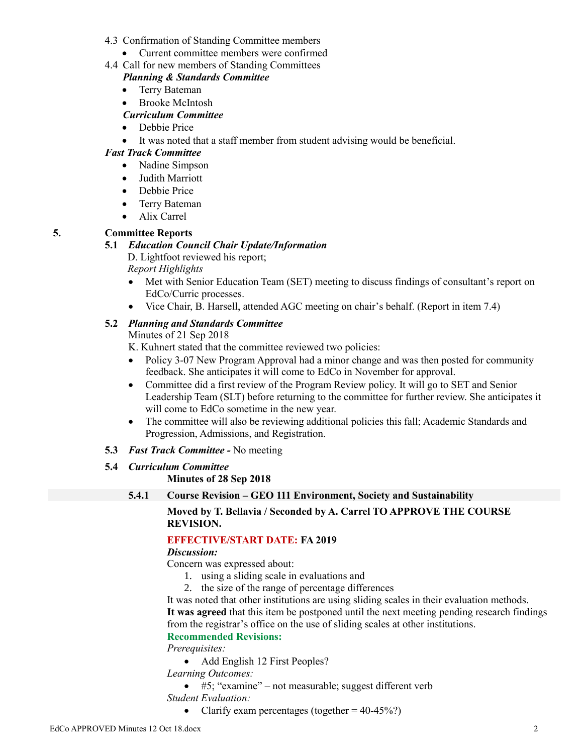- 4.3 Confirmation of Standing Committee members
	- Current committee members were confirmed
- 4.4 Call for new members of Standing Committees

### *Planning & Standards Committee*

- Terry Bateman
- Brooke McIntosh

# *Curriculum Committee*

- Debbie Price
- It was noted that a staff member from student advising would be beneficial.

# *Fast Track Committee*

- Nadine Simpson
- Judith Marriott
- Debbie Price
- Terry Bateman
- Alix Carrel

# **5. Committee Reports**

### **5.1** *Education Council Chair Update/Information*

D. Lightfoot reviewed his report; *Report Highlights*

- Met with Senior Education Team (SET) meeting to discuss findings of consultant's report on EdCo/Curric processes.
	- Vice Chair, B. Harsell, attended AGC meeting on chair's behalf. (Report in item 7.4)

# **5.2** *Planning and Standards Committee*

Minutes of 21 Sep 2018

K. Kuhnert stated that the committee reviewed two policies:

- Policy 3-07 New Program Approval had a minor change and was then posted for community feedback. She anticipates it will come to EdCo in November for approval.
- Committee did a first review of the Program Review policy. It will go to SET and Senior Leadership Team (SLT) before returning to the committee for further review. She anticipates it will come to EdCo sometime in the new year.
- The committee will also be reviewing additional policies this fall; Academic Standards and Progression, Admissions, and Registration.
- **5.3** *Fast Track Committee -* No meeting

# **5.4** *Curriculum Committee*

# **Minutes of 28 Sep 2018**

# **5.4.1 Course Revision – GEO 111 Environment, Society and Sustainability**

### **Moved by T. Bellavia / Seconded by A. Carrel TO APPROVE THE COURSE REVISION.**

# **EFFECTIVE/START DATE: FA 2019**

# *Discussion:*

Concern was expressed about:

- 1. using a sliding scale in evaluations and
- 2. the size of the range of percentage differences

It was noted that other institutions are using sliding scales in their evaluation methods.

**It was agreed** that this item be postponed until the next meeting pending research findings from the registrar's office on the use of sliding scales at other institutions.

# **Recommended Revisions:**

*Prerequisites:*

• Add English 12 First Peoples?

*Learning Outcomes:*

- #5; "examine" not measurable; suggest different verb *Student Evaluation:*
	- Clarify exam percentages (together  $= 40-45\%$ ?)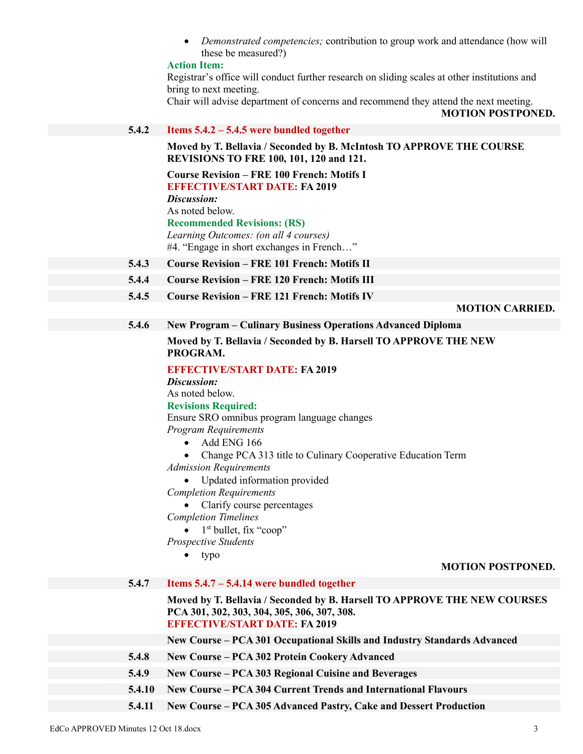*Demonstrated competencies;* contribution to group work and attendance (how will these be measured?)

#### **Action Item:**

Registrar's office will conduct further research on sliding scales at other institutions and bring to next meeting.

Chair will advise department of concerns and recommend they attend the next meeting.

**MOTION POSTPONED.**

#### **5.4.2 Items 5.4.2 – 5.4.5 were bundled together**

**Moved by T. Bellavia / Seconded by B. McIntosh TO APPROVE THE COURSE REVISIONS TO FRE 100, 101, 120 and 121.**

**Course Revision – FRE 100 French: Motifs I EFFECTIVE/START DATE: FA 2019** *Discussion:* As noted below. **Recommended Revisions: (RS)** *Learning Outcomes: (on all 4 courses)* #4. "Engage in short exchanges in French…"

- **5.4.3 Course Revision – FRE 101 French: Motifs II**
- **5.4.4 Course Revision – FRE 120 French: Motifs III**
- **5.4.5 Course Revision – FRE 121 French: Motifs IV**

**MOTION CARRIED.**

# **5.4.6 New Program – Culinary Business Operations Advanced Diploma**

### **Moved by T. Bellavia / Seconded by B. Harsell TO APPROVE THE NEW PROGRAM.**

#### **EFFECTIVE/START DATE: FA 2019**

*Discussion:*

As noted below.

#### **Revisions Required:**

Ensure SRO omnibus program language changes *Program Requirements*

- $\bullet$  Add ENG 166
- Change PCA 313 title to Culinary Cooperative Education Term
- *Admission Requirements*
	- Updated information provided

*Completion Requirements*

- Clarify course percentages
- *Completion Timelines*

 $\bullet$  1<sup>st</sup> bullet, fix "coop"

- *Prospective Students*
	- typo

#### **MOTION POSTPONED.**

| 5.4.7  | Items $5.4.7 - 5.4.14$ were bundled together                                                                                                                    |
|--------|-----------------------------------------------------------------------------------------------------------------------------------------------------------------|
|        | Moved by T. Bellavia / Seconded by B. Harsell TO APPROVE THE NEW COURSES<br>PCA 301, 302, 303, 304, 305, 306, 307, 308.<br><b>EFFECTIVE/START DATE: FA 2019</b> |
|        | New Course – PCA 301 Occupational Skills and Industry Standards Advanced                                                                                        |
| 5.4.8  | <b>New Course – PCA 302 Protein Cookery Advanced</b>                                                                                                            |
| 5.4.9  | New Course – PCA 303 Regional Cuisine and Beverages                                                                                                             |
| 5.4.10 | <b>New Course – PCA 304 Current Trends and International Flavours</b>                                                                                           |
| 5.4.11 | New Course – PCA 305 Advanced Pastry, Cake and Dessert Production                                                                                               |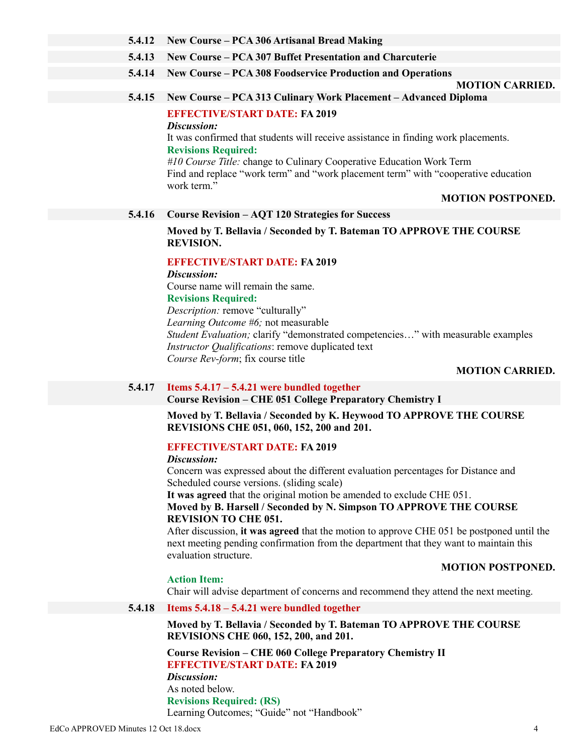### **5.4.12 New Course – PCA 306 Artisanal Bread Making**

**5.4.13 New Course – PCA 307 Buffet Presentation and Charcuterie**

# **5.4.14 New Course – PCA 308 Foodservice Production and Operations**

#### **MOTION CARRIED.**

### **5.4.15 New Course – PCA 313 Culinary Work Placement – Advanced Diploma**

### **EFFECTIVE/START DATE: FA 2019**

### *Discussion:*

It was confirmed that students will receive assistance in finding work placements. **Revisions Required:**

*#10 Course Title:* change to Culinary Cooperative Education Work Term Find and replace "work term" and "work placement term" with "cooperative education work term."

#### **MOTION POSTPONED.**

### **5.4.16 Course Revision – AQT 120 Strategies for Success**

**Moved by T. Bellavia / Seconded by T. Bateman TO APPROVE THE COURSE REVISION.**

### **EFFECTIVE/START DATE: FA 2019**

*Discussion:* Course name will remain the same.

### **Revisions Required:**

*Description:* remove "culturally"

*Learning Outcome #6;* not measurable

*Student Evaluation;* clarify "demonstrated competencies…" with measurable examples *Instructor Qualifications*: remove duplicated text *Course Rev-form*; fix course title

#### **MOTION CARRIED.**

**MOTION POSTPONED.**

### **5.4.17 Items 5.4.17 – 5.4.21 were bundled together**

**Course Revision – CHE 051 College Preparatory Chemistry I**

**Moved by T. Bellavia / Seconded by K. Heywood TO APPROVE THE COURSE REVISIONS CHE 051, 060, 152, 200 and 201.**

### **EFFECTIVE/START DATE: FA 2019**

#### *Discussion:*

Concern was expressed about the different evaluation percentages for Distance and Scheduled course versions. (sliding scale)

**It was agreed** that the original motion be amended to exclude CHE 051.

### **Moved by B. Harsell / Seconded by N. Simpson TO APPROVE THE COURSE REVISION TO CHE 051.**

After discussion, **it was agreed** that the motion to approve CHE 051 be postponed until the next meeting pending confirmation from the department that they want to maintain this evaluation structure.

### **Action Item:**

Chair will advise department of concerns and recommend they attend the next meeting.

### **5.4.18 Items 5.4.18 – 5.4.21 were bundled together**

**Moved by T. Bellavia / Seconded by T. Bateman TO APPROVE THE COURSE REVISIONS CHE 060, 152, 200, and 201.**

**Course Revision – CHE 060 College Preparatory Chemistry II EFFECTIVE/START DATE: FA 2019** *Discussion:* As noted below.

**Revisions Required: (RS)** Learning Outcomes; "Guide" not "Handbook"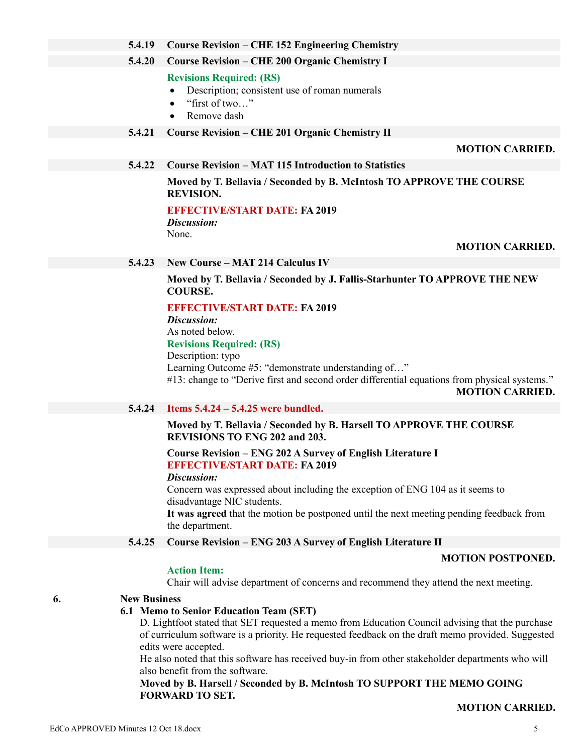**Moved by B. Harsell / Seconded by B. McIntosh TO SUPPORT THE MEMO GOING FORWARD TO SET.**

**MOTION CARRIED.**

# **5.4.19 Course Revision – CHE 152 Engineering Chemistry**

**5.4.20 Course Revision – CHE 200 Organic Chemistry I**

# **Revisions Required: (RS)**

- Description; consistent use of roman numerals
- "first of two…"
- Remove dash

# **5.4.21 Course Revision – CHE 201 Organic Chemistry II**

# **MOTION CARRIED.**

# **5.4.22 Course Revision – MAT 115 Introduction to Statistics**

**Moved by T. Bellavia / Seconded by B. McIntosh TO APPROVE THE COURSE REVISION.**

**EFFECTIVE/START DATE: FA 2019** *Discussion:*

None.

# **MOTION CARRIED.**

# **5.4.23 New Course – MAT 214 Calculus IV**

**Moved by T. Bellavia / Seconded by J. Fallis-Starhunter TO APPROVE THE NEW COURSE.**

# **EFFECTIVE/START DATE: FA 2019**

*Discussion:*

As noted below.

**Revisions Required: (RS)**

# Description: typo

Learning Outcome #5: "demonstrate understanding of…"

#13: change to "Derive first and second order differential equations from physical systems." **MOTION CARRIED.**

# **5.4.24 Items 5.4.24 – 5.4.25 were bundled.**

# **Moved by T. Bellavia / Seconded by B. Harsell TO APPROVE THE COURSE REVISIONS TO ENG 202 and 203.**

# **Course Revision – ENG 202 A Survey of English Literature I EFFECTIVE/START DATE: FA 2019**

# *Discussion:*

Concern was expressed about including the exception of ENG 104 as it seems to disadvantage NIC students.

**It was agreed** that the motion be postponed until the next meeting pending feedback from the department.

# **5.4.25 Course Revision – ENG 203 A Survey of English Literature II**

# **MOTION POSTPONED.**

# **Action Item:**

Chair will advise department of concerns and recommend they attend the next meeting.

# **6. New Business**

# **6.1 Memo to Senior Education Team (SET)**

D. Lightfoot stated that SET requested a memo from Education Council advising that the purchase of curriculum software is a priority. He requested feedback on the draft memo provided. Suggested edits were accepted.

He also noted that this software has received buy-in from other stakeholder departments who will also benefit from the software.

# EdCo APPROVED Minutes 12 Oct 18.docx 5